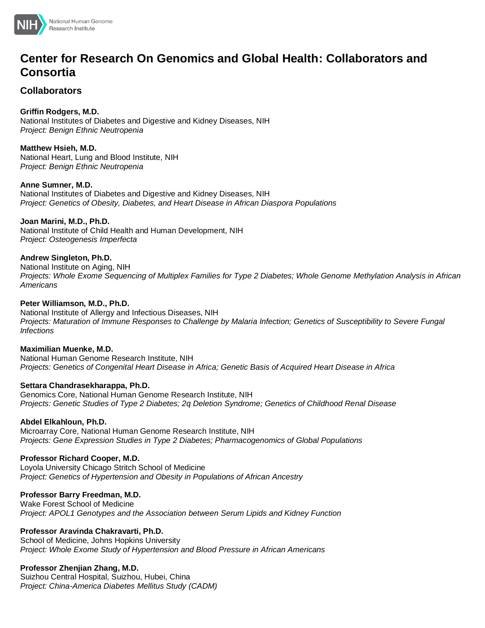

# **Center for Research On Genomics and Global Health: Collaborators and Consortia**

### **Collaborators**

**Griffin Rodgers, M.D.** National Institutes of Diabetes and Digestive and Kidney Diseases, NIH *Project: Benign Ethnic Neutropenia*

**Matthew Hsieh, M.D.** National Heart, Lung and Blood Institute, NIH *Project: Benign Ethnic Neutropenia*

**Anne Sumner, M.D.** National Institutes of Diabetes and Digestive and Kidney Diseases, NIH *Project: Genetics of Obesity, Diabetes, and Heart Disease in African Diaspora Populations*

**Joan Marini, M.D., Ph.D.**

National Institute of Child Health and Human Development, NIH *Project: Osteogenesis Imperfecta*

### **Andrew Singleton, Ph.D.**

National Institute on Aging, NIH *Projects: Whole Exome Sequencing of Multiplex Families for Type 2 Diabetes; Whole Genome Methylation Analysis in African Americans*

### **Peter Williamson, M.D., Ph.D.**

National Institute of Allergy and Infectious Diseases, NIH *Projects: Maturation of Immune Responses to Challenge by Malaria Infection; Genetics of Susceptibility to Severe Fungal Infections*

### **Maximilian Muenke, M.D.**

National Human Genome Research Institute, NIH *Projects: Genetics of Congenital Heart Disease in Africa; Genetic Basis of Acquired Heart Disease in Africa*

### **Settara Chandrasekharappa, Ph.D.**

Genomics Core, National Human Genome Research Institute, NIH *Projects: Genetic Studies of Type 2 Diabetes; 2q Deletion Syndrome; Genetics of Childhood Renal Disease*

### **Abdel Elkahloun, Ph.D.**

Microarray Core, National Human Genome Research Institute, NIH *Projects: Gene Expression Studies in Type 2 Diabetes; Pharmacogenomics of Global Populations*

### **Professor Richard Cooper, M.D.**

Loyola University Chicago Stritch School of Medicine *Project: Genetics of Hypertension and Obesity in Populations of African Ancestry*

### **Professor Barry Freedman, M.D.**

Wake Forest School of Medicine *Project: APOL1 Genotypes and the Association between Serum Lipids and Kidney Function*

### **Professor Aravinda Chakravarti, Ph.D.**

School of Medicine, Johns Hopkins University *Project: Whole Exome Study of Hypertension and Blood Pressure in African Americans*

### **Professor Zhenjian Zhang, M.D.**

Suizhou Central Hospital, Suizhou, Hubei, China *Project: China-America Diabetes Mellitus Study (CADM)*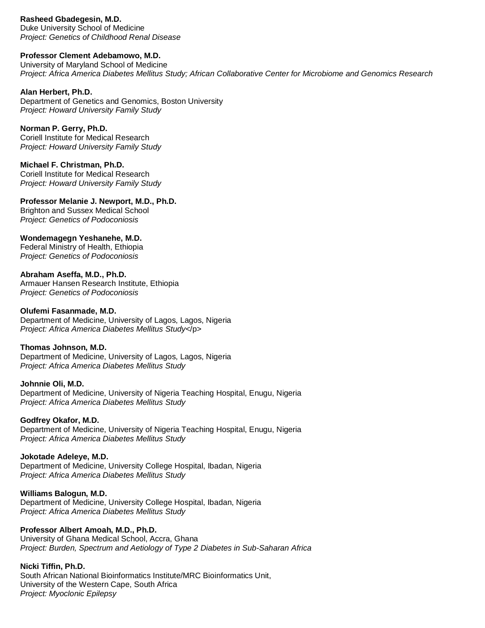#### **Rasheed Gbadegesin, M.D.**

Duke University School of Medicine *Project: Genetics of Childhood Renal Disease*

#### **Professor Clement Adebamowo, M.D.**

University of Maryland School of Medicine *Project: Africa America Diabetes Mellitus Study; African Collaborative Center for Microbiome and Genomics Research*

### **Alan Herbert, Ph.D.**

Department of Genetics and Genomics, Boston University *Project: Howard University Family Study*

#### **Norman P. Gerry, Ph.D.**

Coriell Institute for Medical Research *Project: Howard University Family Study*

### **Michael F. Christman, Ph.D.**

Coriell Institute for Medical Research *Project: Howard University Family Study*

### **Professor Melanie J. Newport, M.D., Ph.D.**

Brighton and Sussex Medical School *Project: Genetics of Podoconiosis*

### **Wondemagegn Yeshanehe, M.D.**

Federal Ministry of Health, Ethiopia *Project: Genetics of Podoconiosis*

### **Abraham Aseffa, M.D., Ph.D.**

Armauer Hansen Research Institute, Ethiopia *Project: Genetics of Podoconiosis*

#### **Olufemi Fasanmade, M.D.**

Department of Medicine, University of Lagos, Lagos, Nigeria *Project: Africa America Diabetes Mellitus Study<*/p>

### **Thomas Johnson, M.D.**

Department of Medicine, University of Lagos, Lagos, Nigeria *Project: Africa America Diabetes Mellitus Study*

#### **Johnnie Oli, M.D.** Department of Medicine, University of Nigeria Teaching Hospital, Enugu, Nigeria *Project: Africa America Diabetes Mellitus Study*

### **Godfrey Okafor, M.D.**

Department of Medicine, University of Nigeria Teaching Hospital, Enugu, Nigeria *Project: Africa America Diabetes Mellitus Study*

### **Jokotade Adeleye, M.D.**

Department of Medicine, University College Hospital, Ibadan, Nigeria *Project: Africa America Diabetes Mellitus Study*

### **Williams Balogun, M.D.**

Department of Medicine, University College Hospital, Ibadan, Nigeria *Project: Africa America Diabetes Mellitus Study*

### **Professor Albert Amoah, M.D., Ph.D.**

University of Ghana Medical School, Accra, Ghana *Project: Burden, Spectrum and Aetiology of Type 2 Diabetes in Sub-Saharan Africa*

### **Nicki Tiffin, Ph.D.**

South African National Bioinformatics Institute/MRC Bioinformatics Unit, University of the Western Cape, South Africa *Project: Myoclonic Epilepsy*